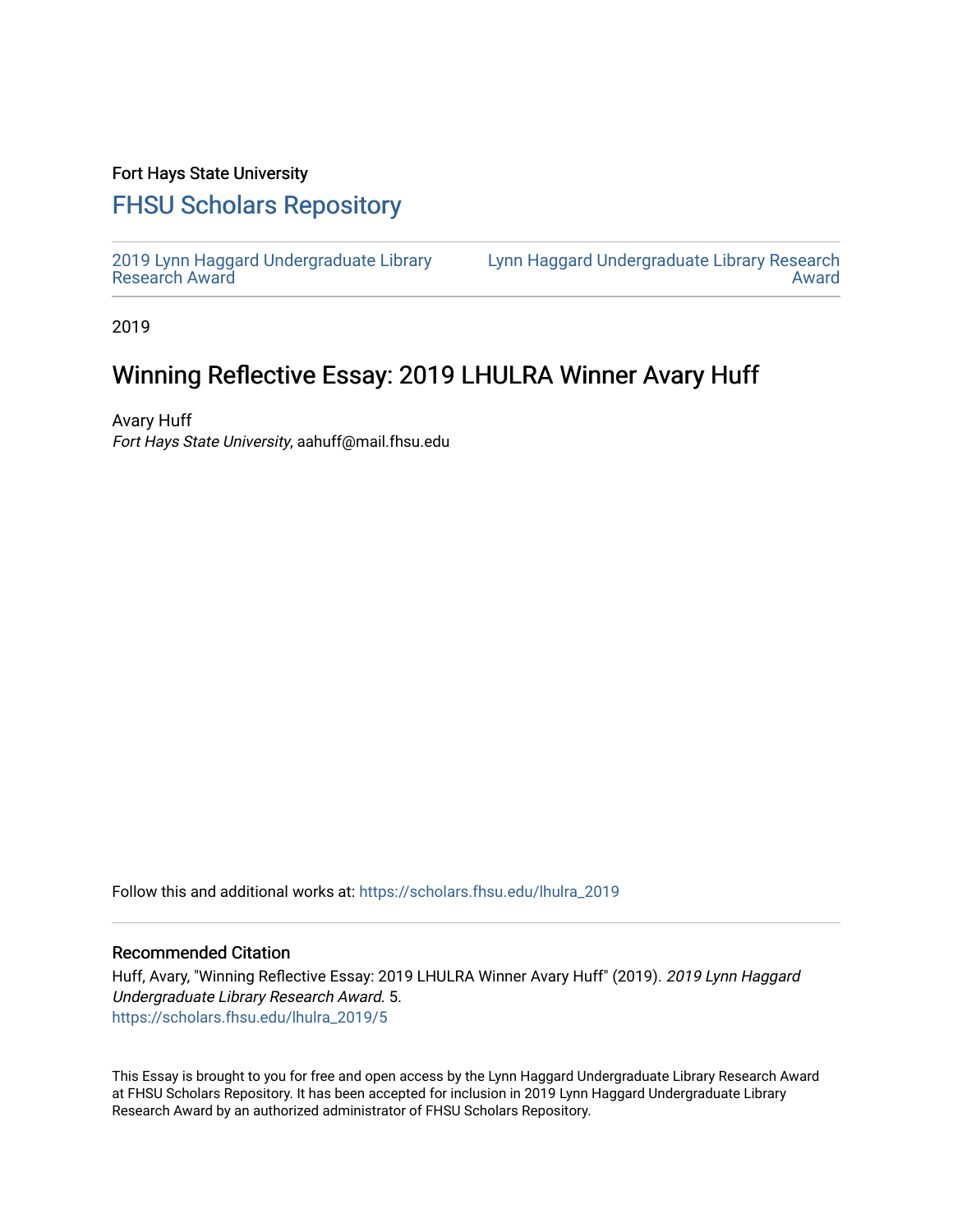## Fort Hays State University

## [FHSU Scholars Repository](https://scholars.fhsu.edu/)

[2019 Lynn Haggard Undergraduate Library](https://scholars.fhsu.edu/lhulra_2019)  [Research Award](https://scholars.fhsu.edu/lhulra_2019)

[Lynn Haggard Undergraduate Library Research](https://scholars.fhsu.edu/lhulra)  [Award](https://scholars.fhsu.edu/lhulra) 

2019

## Winning Reflective Essay: 2019 LHULRA Winner Avary Huff

Avary Huff Fort Hays State University, aahuff@mail.fhsu.edu

Follow this and additional works at: [https://scholars.fhsu.edu/lhulra\\_2019](https://scholars.fhsu.edu/lhulra_2019?utm_source=scholars.fhsu.edu%2Flhulra_2019%2F5&utm_medium=PDF&utm_campaign=PDFCoverPages)

## Recommended Citation

Huff, Avary, "Winning Reflective Essay: 2019 LHULRA Winner Avary Huff" (2019). 2019 Lynn Haggard Undergraduate Library Research Award. 5. [https://scholars.fhsu.edu/lhulra\\_2019/5](https://scholars.fhsu.edu/lhulra_2019/5?utm_source=scholars.fhsu.edu%2Flhulra_2019%2F5&utm_medium=PDF&utm_campaign=PDFCoverPages)

This Essay is brought to you for free and open access by the Lynn Haggard Undergraduate Library Research Award at FHSU Scholars Repository. It has been accepted for inclusion in 2019 Lynn Haggard Undergraduate Library Research Award by an authorized administrator of FHSU Scholars Repository.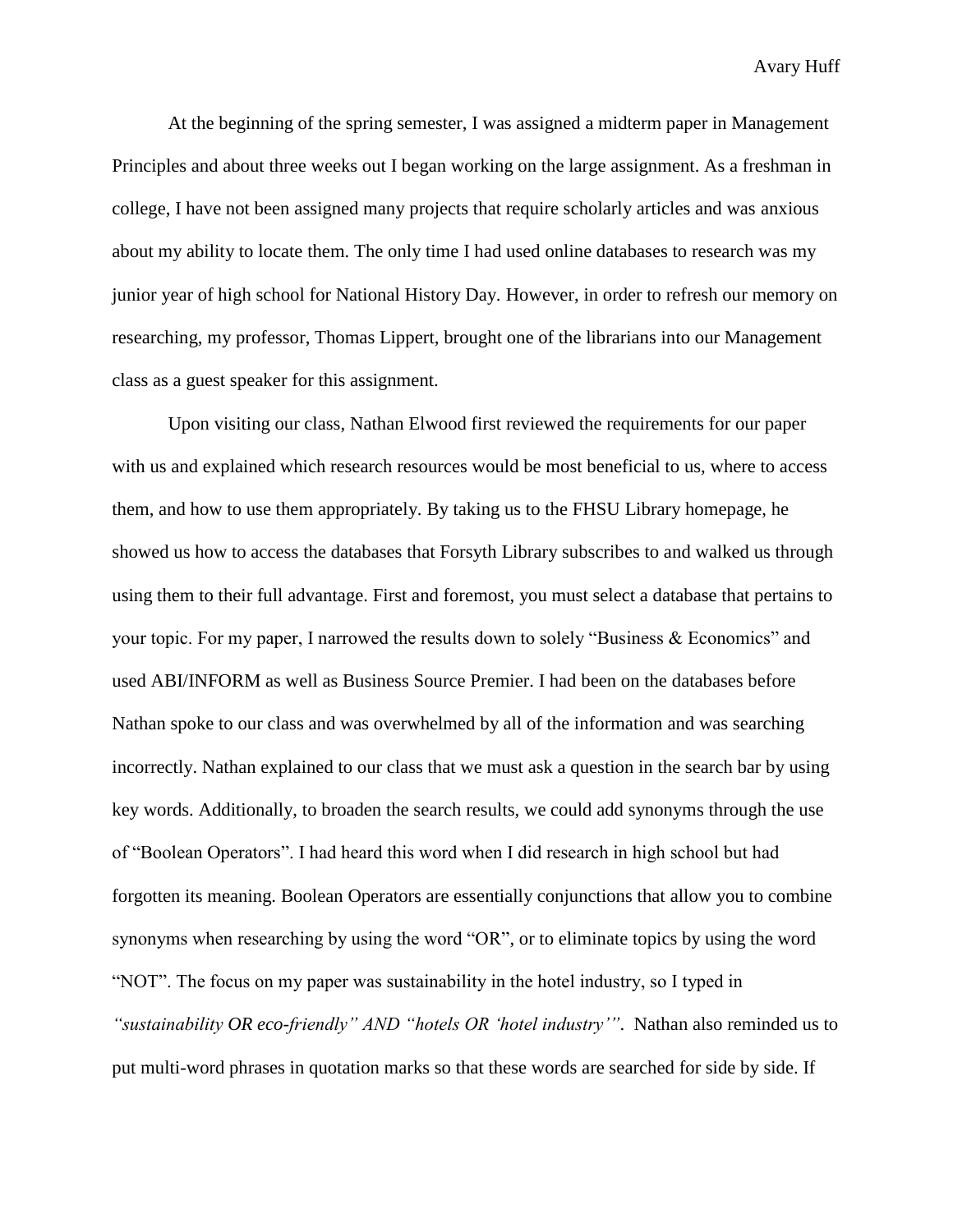Avary Huff

At the beginning of the spring semester, I was assigned a midterm paper in Management Principles and about three weeks out I began working on the large assignment. As a freshman in college, I have not been assigned many projects that require scholarly articles and was anxious about my ability to locate them. The only time I had used online databases to research was my junior year of high school for National History Day. However, in order to refresh our memory on researching, my professor, Thomas Lippert, brought one of the librarians into our Management class as a guest speaker for this assignment.

Upon visiting our class, Nathan Elwood first reviewed the requirements for our paper with us and explained which research resources would be most beneficial to us, where to access them, and how to use them appropriately. By taking us to the FHSU Library homepage, he showed us how to access the databases that Forsyth Library subscribes to and walked us through using them to their full advantage. First and foremost, you must select a database that pertains to your topic. For my paper, I narrowed the results down to solely "Business & Economics" and used ABI/INFORM as well as Business Source Premier. I had been on the databases before Nathan spoke to our class and was overwhelmed by all of the information and was searching incorrectly. Nathan explained to our class that we must ask a question in the search bar by using key words. Additionally, to broaden the search results, we could add synonyms through the use of "Boolean Operators". I had heard this word when I did research in high school but had forgotten its meaning. Boolean Operators are essentially conjunctions that allow you to combine synonyms when researching by using the word "OR", or to eliminate topics by using the word "NOT". The focus on my paper was sustainability in the hotel industry, so I typed in *"sustainability OR eco-friendly" AND "hotels OR 'hotel industry'"*. Nathan also reminded us to put multi-word phrases in quotation marks so that these words are searched for side by side. If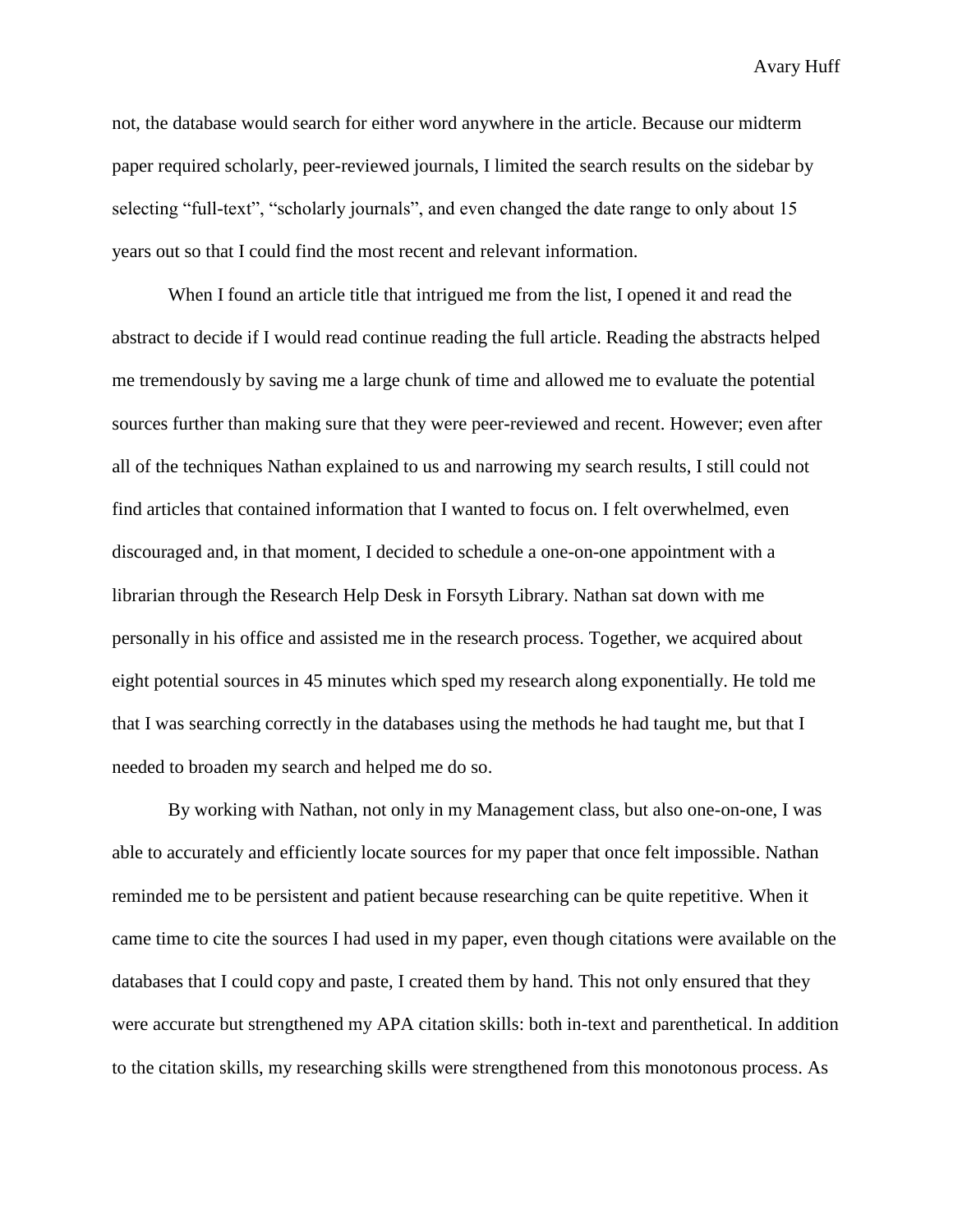Avary Huff

not, the database would search for either word anywhere in the article. Because our midterm paper required scholarly, peer-reviewed journals, I limited the search results on the sidebar by selecting "full-text", "scholarly journals", and even changed the date range to only about 15 years out so that I could find the most recent and relevant information.

When I found an article title that intrigued me from the list, I opened it and read the abstract to decide if I would read continue reading the full article. Reading the abstracts helped me tremendously by saving me a large chunk of time and allowed me to evaluate the potential sources further than making sure that they were peer-reviewed and recent. However; even after all of the techniques Nathan explained to us and narrowing my search results, I still could not find articles that contained information that I wanted to focus on. I felt overwhelmed, even discouraged and, in that moment, I decided to schedule a one-on-one appointment with a librarian through the Research Help Desk in Forsyth Library. Nathan sat down with me personally in his office and assisted me in the research process. Together, we acquired about eight potential sources in 45 minutes which sped my research along exponentially. He told me that I was searching correctly in the databases using the methods he had taught me, but that I needed to broaden my search and helped me do so.

By working with Nathan, not only in my Management class, but also one-on-one, I was able to accurately and efficiently locate sources for my paper that once felt impossible. Nathan reminded me to be persistent and patient because researching can be quite repetitive. When it came time to cite the sources I had used in my paper, even though citations were available on the databases that I could copy and paste, I created them by hand. This not only ensured that they were accurate but strengthened my APA citation skills: both in-text and parenthetical. In addition to the citation skills, my researching skills were strengthened from this monotonous process. As